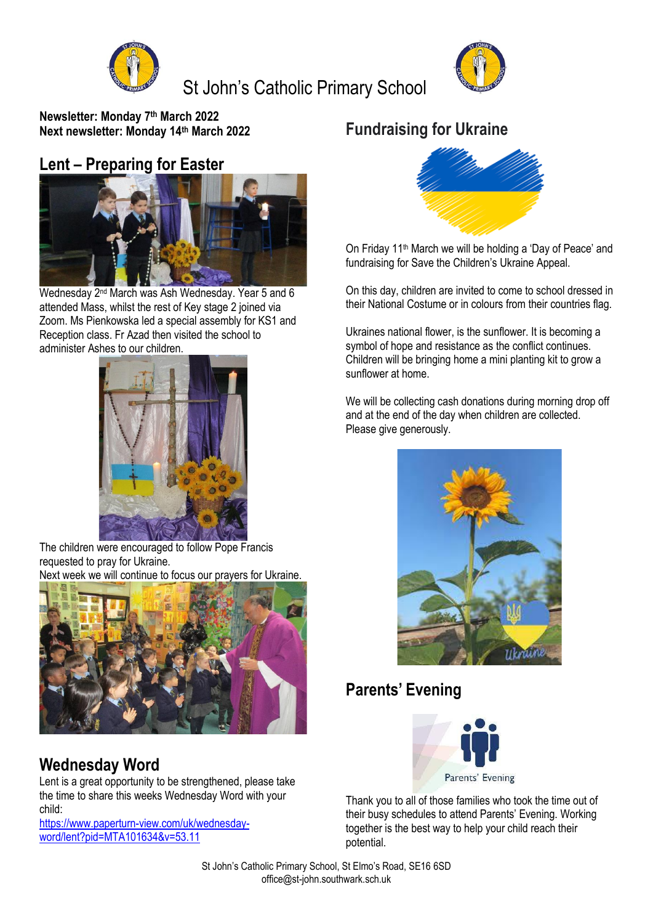

## St John's Catholic Primary School



**Newsletter: Monday 7 th March 2022 Next newsletter: Monday 14th March 2022**

#### **Lent – Preparing for Easter**



Wednesday 2nd March was Ash Wednesday. Year 5 and 6 attended Mass, whilst the rest of Key stage 2 joined via Zoom. Ms Pienkowska led a special assembly for KS1 and Reception class. Fr Azad then visited the school to administer Ashes to our children.



The children were encouraged to follow Pope Francis requested to pray for Ukraine.

Next week we will continue to focus our prayers for Ukraine.



## **Wednesday Word**

Lent is a great opportunity to be strengthened, please take the time to share this weeks Wednesday Word with your child:

[https://www.paperturn-view.com/uk/wednesday](https://www.paperturn-view.com/uk/wednesday-word/lent?pid=MTA101634&v=53.11)[word/lent?pid=MTA101634&v=53.11](https://www.paperturn-view.com/uk/wednesday-word/lent?pid=MTA101634&v=53.11)

## **Fundraising for Ukraine**



On Friday 11th March we will be holding a 'Day of Peace' and fundraising for Save the Children's Ukraine Appeal.

On this day, children are invited to come to school dressed in their National Costume or in colours from their countries flag.

Ukraines national flower, is the sunflower. It is becoming a symbol of hope and resistance as the conflict continues. Children will be bringing home a mini planting kit to grow a sunflower at home.

We will be collecting cash donations during morning drop off and at the end of the day when children are collected. Please give generously.



### **Parents' Evening**



Thank you to all of those families who took the time out of their busy schedules to attend Parents' Evening. Working together is the best way to help your child reach their potential.

St John's Catholic Primary School, St Elmo's Road, SE16 6SD office@st-john.southwark.sch.uk